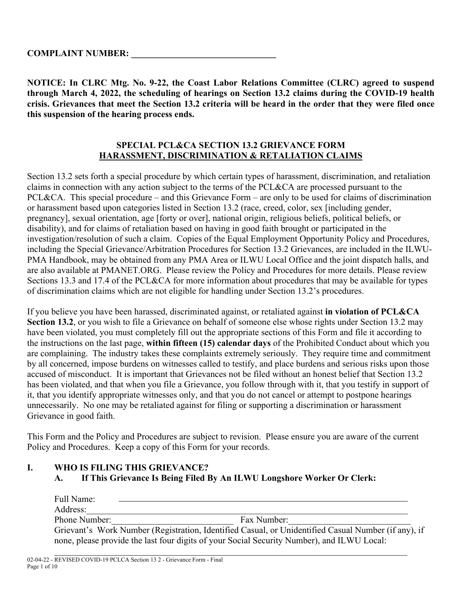**NOTICE: In CLRC Mtg. No. 9-22, the Coast Labor Relations Committee (CLRC) agreed to suspend through March 4, 2022, the scheduling of hearings on Section 13.2 claims during the COVID-19 health crisis. Grievances that meet the Section 13.2 criteria will be heard in the order that they were filed once this suspension of the hearing process ends.** 

### **SPECIAL PCL&CA SECTION 13.2 GRIEVANCE FORM HARASSMENT, DISCRIMINATION & RETALIATION CLAIMS**

Section 13.2 sets forth a special procedure by which certain types of harassment, discrimination, and retaliation claims in connection with any action subject to the terms of the PCL&CA are processed pursuant to the PCL&CA. This special procedure – and this Grievance Form – are only to be used for claims of discrimination or harassment based upon categories listed in Section 13.2 (race, creed, color, sex [including gender, pregnancy], sexual orientation, age [forty or over], national origin, religious beliefs, political beliefs, or disability), and for claims of retaliation based on having in good faith brought or participated in the investigation/resolution of such a claim. Copies of the Equal Employment Opportunity Policy and Procedures, including the Special Grievance/Arbitration Procedures for Section 13.2 Grievances, are included in the ILWU-PMA Handbook, may be obtained from any PMA Area or ILWU Local Office and the joint dispatch halls, and are also available at PMANET.ORG. Please review the Policy and Procedures for more details. Please review Sections 13.3 and 17.4 of the PCL&CA for more information about procedures that may be available for types of discrimination claims which are not eligible for handling under Section 13.2's procedures.

If you believe you have been harassed, discriminated against, or retaliated against **in violation of PCL&CA Section 13.2**, or you wish to file a Grievance on behalf of someone else whose rights under Section 13.2 may have been violated, you must completely fill out the appropriate sections of this Form and file it according to the instructions on the last page, **within fifteen (15) calendar days** of the Prohibited Conduct about which you are complaining. The industry takes these complaints extremely seriously. They require time and commitment by all concerned, impose burdens on witnesses called to testify, and place burdens and serious risks upon those accused of misconduct. It is important that Grievances not be filed without an honest belief that Section 13.2 has been violated, and that when you file a Grievance, you follow through with it, that you testify in support of it, that you identify appropriate witnesses only, and that you do not cancel or attempt to postpone hearings unnecessarily. No one may be retaliated against for filing or supporting a discrimination or harassment Grievance in good faith.

This Form and the Policy and Procedures are subject to revision. Please ensure you are aware of the current Policy and Procedures. Keep a copy of this Form for your records.

# **I. WHO IS FILING THIS GRIEVANCE?**

**A. If This Grievance Is Being Filed By An ILWU Longshore Worker Or Clerk:**

| Full Name:    |                                                                                                     |
|---------------|-----------------------------------------------------------------------------------------------------|
| Address:      |                                                                                                     |
| Phone Number: | Fax Number:                                                                                         |
|               | Grievant's Work Number (Registration, Identified Casual, or Unidentified Casual Number (if any), if |
|               | none, please provide the last four digits of your Social Security Number), and ILWU Local:          |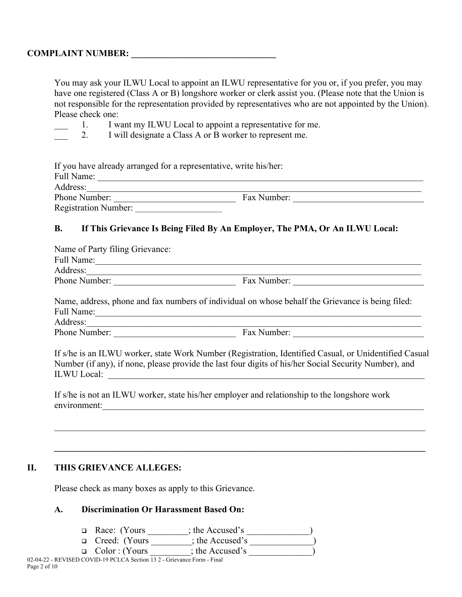You may ask your ILWU Local to appoint an ILWU representative for you or, if you prefer, you may have one registered (Class A or B) longshore worker or clerk assist you. (Please note that the Union is not responsible for the representation provided by representatives who are not appointed by the Union). Please check one:

1. I want my ILWU Local to appoint a representative for me.

2. I will designate a Class A or B worker to represent me.

| If you have already arranged for a representative, write his/her: |             |  |  |
|-------------------------------------------------------------------|-------------|--|--|
| Full Name:                                                        |             |  |  |
| Address:                                                          |             |  |  |
| Phone Number:                                                     | Fax Number: |  |  |
| <b>Registration Number:</b>                                       |             |  |  |

### **B. If This Grievance Is Being Filed By An Employer, The PMA, Or An ILWU Local:**

| Name of Party filing Grievance: |             |  |  |  |
|---------------------------------|-------------|--|--|--|
| Full Name:                      |             |  |  |  |
| Address:                        |             |  |  |  |
| Phone Number:                   | Fax Number: |  |  |  |

Name, address, phone and fax numbers of individual on whose behalf the Grievance is being filed: Full Name:

Address:\_\_\_\_\_\_\_\_\_\_\_\_\_\_\_\_\_\_\_\_\_\_\_\_\_\_\_\_\_\_\_\_\_\_\_\_\_\_\_\_\_\_\_\_\_\_\_\_\_\_\_\_\_\_\_\_\_\_\_\_\_\_\_\_\_\_\_\_\_\_\_\_\_\_

Phone Number: \_\_\_\_\_\_\_\_\_\_\_\_\_\_\_\_\_\_\_\_\_\_\_\_\_\_\_ Fax Number: \_\_\_\_\_\_\_\_\_\_\_\_\_\_\_\_\_\_\_\_\_\_\_\_\_\_\_\_\_

If s/he is an ILWU worker, state Work Number (Registration, Identified Casual, or Unidentified Casual Number (if any), if none, please provide the last four digits of his/her Social Security Number), and ILWU Local:

\_\_\_\_\_\_\_\_\_\_\_\_\_\_\_\_\_\_\_\_\_\_\_\_\_\_\_\_\_\_\_\_\_\_\_\_\_\_\_\_\_\_\_\_\_\_\_\_\_\_\_\_\_\_\_\_\_\_\_\_\_\_\_\_\_\_\_\_\_\_\_\_\_\_\_\_\_\_\_\_\_\_

If s/he is not an ILWU worker, state his/her employer and relationship to the longshore work environment:

**\_\_\_\_\_\_\_\_\_\_\_\_\_\_\_\_\_\_\_\_\_\_\_\_\_\_\_\_\_\_\_\_\_\_\_\_\_\_\_\_\_\_\_\_\_\_\_\_\_\_\_\_\_\_\_\_\_\_\_\_\_\_\_\_\_\_\_\_\_\_\_\_\_\_\_\_\_\_\_\_\_\_**

#### **II. THIS GRIEVANCE ALLEGES:**

Please check as many boxes as apply to this Grievance.

#### **A. Discrimination Or Harassment Based On:**

|  | □ Race: (Yours |  | : the Accused's |  |  |
|--|----------------|--|-----------------|--|--|
|  |                |  |                 |  |  |

 $\Box$  Creed: (Yours  $\boxed{\phantom{123411111}}$ ; the Accused's

□ Color : (Yours ; the Accused's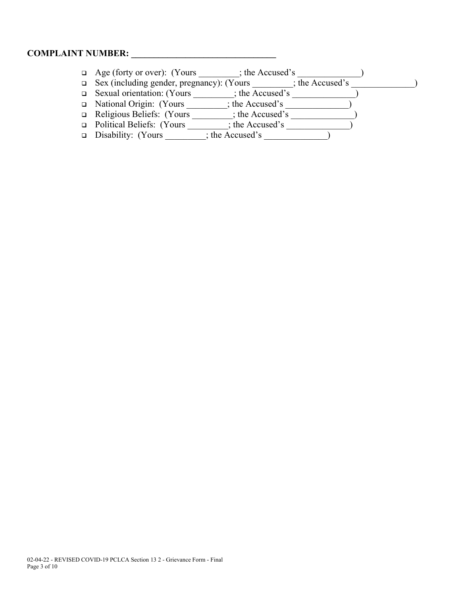- Age (forty or over): (Yours \_\_\_\_\_\_\_\_\_; the Accused's \_\_\_\_\_\_\_\_\_\_\_\_\_\_)
- Sex (including gender, pregnancy): (Yours \_\_\_\_\_\_\_\_\_; the Accused's \_\_\_\_\_\_\_\_\_\_\_\_\_\_)
- Sexual orientation: (Yours \_\_\_\_\_\_\_\_\_; the Accused's \_\_\_\_\_\_\_\_\_\_\_\_\_\_)
- National Origin: (Yours \_\_\_\_\_\_\_\_\_; the Accused's \_\_\_\_\_\_\_\_\_\_\_\_\_\_)
- □ Religious Beliefs: (Yours \_\_\_\_\_\_\_\_; the Accused's \_\_\_\_\_\_\_\_\_\_\_\_\_\_)  $\Box$  Political Beliefs: (Yours  $\overline{\qquad \qquad}$ ; the Accused's  $\overline{\qquad \qquad}$
- Disability: (Yours \_\_\_\_\_\_\_\_\_; the Accused's \_\_\_\_\_\_\_\_\_\_\_\_\_\_)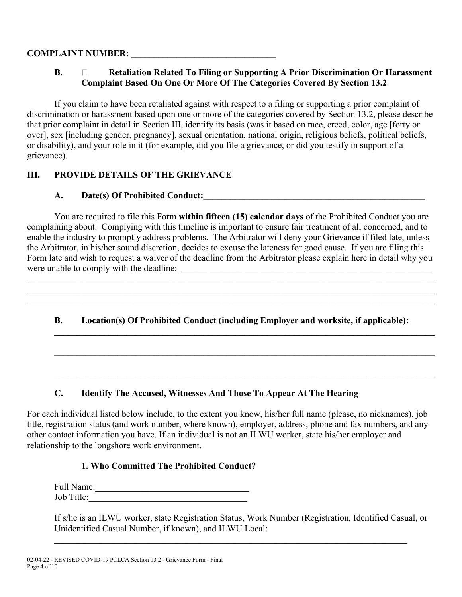### **COMPLAINT NUMBER:**

### **B. Retaliation Related To Filing or Supporting A Prior Discrimination Or Harassment Complaint Based On One Or More Of The Categories Covered By Section 13.2**

If you claim to have been retaliated against with respect to a filing or supporting a prior complaint of discrimination or harassment based upon one or more of the categories covered by Section 13.2, please describe that prior complaint in detail in Section III, identify its basis (was it based on race, creed, color, age [forty or over], sex [including gender, pregnancy], sexual orientation, national origin, religious beliefs, political beliefs, or disability), and your role in it (for example, did you file a grievance, or did you testify in support of a grievance).

# **III. PROVIDE DETAILS OF THE GRIEVANCE**

# **A. Date(s) Of Prohibited Conduct:**

You are required to file this Form **within fifteen (15) calendar days** of the Prohibited Conduct you are complaining about. Complying with this timeline is important to ensure fair treatment of all concerned, and to enable the industry to promptly address problems. The Arbitrator will deny your Grievance if filed late, unless the Arbitrator, in his/her sound discretion, decides to excuse the lateness for good cause. If you are filing this Form late and wish to request a waiver of the deadline from the Arbitrator please explain here in detail why you were unable to comply with the deadline: \_\_\_\_\_\_\_\_\_\_\_\_\_\_\_\_\_\_\_\_\_\_\_\_\_\_\_\_\_\_\_\_\_\_\_\_\_\_\_\_\_\_\_\_\_\_\_\_\_\_\_\_\_\_\_

# **B. Location(s) Of Prohibited Conduct (including Employer and worksite, if applicable):**

**\_\_\_\_\_\_\_\_\_\_\_\_\_\_\_\_\_\_\_\_\_\_\_\_\_\_\_\_\_\_\_\_\_\_\_\_\_\_\_\_\_\_\_\_\_\_\_\_\_\_\_\_\_\_\_\_\_\_\_\_\_\_\_\_\_\_\_\_\_\_\_\_\_\_\_\_\_\_\_\_\_\_\_\_**

**\_\_\_\_\_\_\_\_\_\_\_\_\_\_\_\_\_\_\_\_\_\_\_\_\_\_\_\_\_\_\_\_\_\_\_\_\_\_\_\_\_\_\_\_\_\_\_\_\_\_\_\_\_\_\_\_\_\_\_\_\_\_\_\_\_\_\_\_\_\_\_\_\_\_\_\_\_\_\_\_\_\_\_\_**

**\_\_\_\_\_\_\_\_\_\_\_\_\_\_\_\_\_\_\_\_\_\_\_\_\_\_\_\_\_\_\_\_\_\_\_\_\_\_\_\_\_\_\_\_\_\_\_\_\_\_\_\_\_\_\_\_\_\_\_\_\_\_\_\_\_\_\_\_\_\_\_\_\_\_\_\_\_\_\_\_\_\_\_\_**

 $\mathcal{L}_\mathcal{L} = \{ \mathcal{L}_\mathcal{L} = \{ \mathcal{L}_\mathcal{L} = \{ \mathcal{L}_\mathcal{L} = \{ \mathcal{L}_\mathcal{L} = \{ \mathcal{L}_\mathcal{L} = \{ \mathcal{L}_\mathcal{L} = \{ \mathcal{L}_\mathcal{L} = \{ \mathcal{L}_\mathcal{L} = \{ \mathcal{L}_\mathcal{L} = \{ \mathcal{L}_\mathcal{L} = \{ \mathcal{L}_\mathcal{L} = \{ \mathcal{L}_\mathcal{L} = \{ \mathcal{L}_\mathcal{L} = \{ \mathcal{L}_\mathcal{$ 

 $\mathcal{L}_\mathcal{L} = \{ \mathcal{L}_\mathcal{L} = \{ \mathcal{L}_\mathcal{L} = \{ \mathcal{L}_\mathcal{L} = \{ \mathcal{L}_\mathcal{L} = \{ \mathcal{L}_\mathcal{L} = \{ \mathcal{L}_\mathcal{L} = \{ \mathcal{L}_\mathcal{L} = \{ \mathcal{L}_\mathcal{L} = \{ \mathcal{L}_\mathcal{L} = \{ \mathcal{L}_\mathcal{L} = \{ \mathcal{L}_\mathcal{L} = \{ \mathcal{L}_\mathcal{L} = \{ \mathcal{L}_\mathcal{L} = \{ \mathcal{L}_\mathcal{$ 

### **C. Identify The Accused, Witnesses And Those To Appear At The Hearing**

For each individual listed below include, to the extent you know, his/her full name (please, no nicknames), job title, registration status (and work number, where known), employer, address, phone and fax numbers, and any other contact information you have. If an individual is not an ILWU worker, state his/her employer and relationship to the longshore work environment.

### **1. Who Committed The Prohibited Conduct?**

Full Name:\_\_\_\_\_\_\_\_\_\_\_\_\_\_\_\_\_\_\_\_\_\_\_\_\_\_\_\_\_\_\_\_\_\_ Job Title:

If s/he is an ILWU worker, state Registration Status, Work Number (Registration, Identified Casual, or Unidentified Casual Number, if known), and ILWU Local:

 $\_$  , and the set of the set of the set of the set of the set of the set of the set of the set of the set of the set of the set of the set of the set of the set of the set of the set of the set of the set of the set of th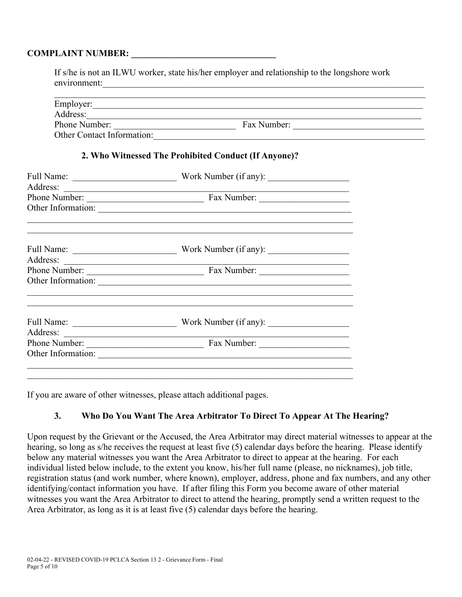### **COMPLAINT NUMBER:**

| If s/he is not an ILWU worker, state his/her employer and relationship to the longshore work |             |  |
|----------------------------------------------------------------------------------------------|-------------|--|
| environment:                                                                                 |             |  |
| Employer:                                                                                    |             |  |
| Address:                                                                                     |             |  |
| Phone Number:                                                                                | Fax Number: |  |
| <b>Other Contact Information:</b>                                                            |             |  |

#### **2. Who Witnessed The Prohibited Conduct (If Anyone)?**

| Full Name:<br><u> Alexandria (Carlo Carlo Carlo Carlo Carlo Carlo Carlo Carlo Carlo Carlo Carlo Carlo Carlo Carlo Carlo Carlo Ca</u> |                                                                                           |  |  |  |
|--------------------------------------------------------------------------------------------------------------------------------------|-------------------------------------------------------------------------------------------|--|--|--|
| Address:                                                                                                                             |                                                                                           |  |  |  |
|                                                                                                                                      |                                                                                           |  |  |  |
|                                                                                                                                      | Other Information:                                                                        |  |  |  |
|                                                                                                                                      |                                                                                           |  |  |  |
|                                                                                                                                      | Work Number (if any):                                                                     |  |  |  |
| Address:                                                                                                                             | the control of the control of the control of the control of the control of the control of |  |  |  |
|                                                                                                                                      |                                                                                           |  |  |  |
|                                                                                                                                      |                                                                                           |  |  |  |
|                                                                                                                                      |                                                                                           |  |  |  |
|                                                                                                                                      | Work Number (if any):                                                                     |  |  |  |
| Address:                                                                                                                             | the control of the control of the control of the control of the control of the control of |  |  |  |
| Phone Number:                                                                                                                        | Fax Number:<br><u> 1989 - Johann Barn, mars and de Brasil</u>                             |  |  |  |
| Other Information:                                                                                                                   | <u> 1980 - Andrea Station, amerikansk politik (d. 1980)</u>                               |  |  |  |
|                                                                                                                                      |                                                                                           |  |  |  |
|                                                                                                                                      |                                                                                           |  |  |  |

If you are aware of other witnesses, please attach additional pages.

### **3. Who Do You Want The Area Arbitrator To Direct To Appear At The Hearing?**

Upon request by the Grievant or the Accused, the Area Arbitrator may direct material witnesses to appear at the hearing, so long as s/he receives the request at least five (5) calendar days before the hearing. Please identify below any material witnesses you want the Area Arbitrator to direct to appear at the hearing. For each individual listed below include, to the extent you know, his/her full name (please, no nicknames), job title, registration status (and work number, where known), employer, address, phone and fax numbers, and any other identifying/contact information you have. If after filing this Form you become aware of other material witnesses you want the Area Arbitrator to direct to attend the hearing, promptly send a written request to the Area Arbitrator, as long as it is at least five (5) calendar days before the hearing.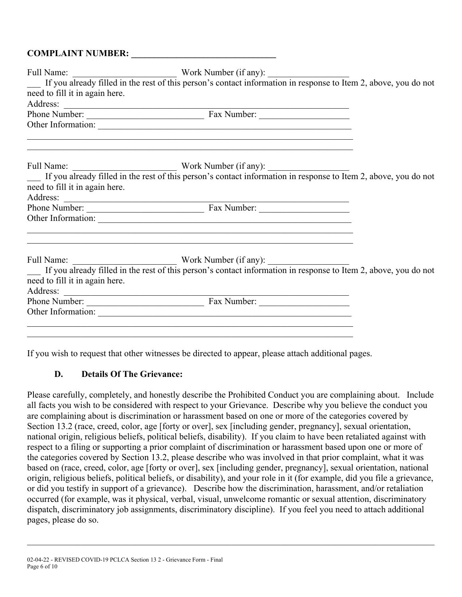| Full Name: Work Number (if any): Work Number (if any): If you already filled in the rest of this person's contact information in response to Item 2, above, you do not |  |
|------------------------------------------------------------------------------------------------------------------------------------------------------------------------|--|
|                                                                                                                                                                        |  |
| need to fill it in again here.                                                                                                                                         |  |
|                                                                                                                                                                        |  |
| Address:<br>Phone Number: Fax Number: Fax Number:                                                                                                                      |  |
|                                                                                                                                                                        |  |
| <u> 1989 - Andrea Santa Andrea Santa Andrea Andrea Santa Andrea Andrea Andrea Andrea Andrea Andrea Andrea Andrea</u>                                                   |  |
| Full Name: Work Number (if any): Work Number (if any): If you already filled in the rest of this person's contact information in response to Item 2, above, you do not |  |
| need to fill it in again here.                                                                                                                                         |  |
|                                                                                                                                                                        |  |
| Address:<br>Phone Number: Fax Number: Fax Number:                                                                                                                      |  |
|                                                                                                                                                                        |  |
|                                                                                                                                                                        |  |
| Full Name: Work Number (if any): Work Number (if any): If you already filled in the rest of this person's contact information in response to Item 2, above, you do not |  |
| need to fill it in again here.                                                                                                                                         |  |
|                                                                                                                                                                        |  |
| Address:<br>Phone Number: <u>Fax Number:</u>                                                                                                                           |  |
|                                                                                                                                                                        |  |
|                                                                                                                                                                        |  |
|                                                                                                                                                                        |  |
|                                                                                                                                                                        |  |

If you wish to request that other witnesses be directed to appear, please attach additional pages.

### **D. Details Of The Grievance:**

Please carefully, completely, and honestly describe the Prohibited Conduct you are complaining about. Include all facts you wish to be considered with respect to your Grievance. Describe why you believe the conduct you are complaining about is discrimination or harassment based on one or more of the categories covered by Section 13.2 (race, creed, color, age [forty or over], sex [including gender, pregnancy], sexual orientation, national origin, religious beliefs, political beliefs, disability). If you claim to have been retaliated against with respect to a filing or supporting a prior complaint of discrimination or harassment based upon one or more of the categories covered by Section 13.2, please describe who was involved in that prior complaint, what it was based on (race, creed, color, age [forty or over], sex [including gender, pregnancy], sexual orientation, national origin, religious beliefs, political beliefs, or disability), and your role in it (for example, did you file a grievance, or did you testify in support of a grievance). Describe how the discrimination, harassment, and/or retaliation occurred (for example, was it physical, verbal, visual, unwelcome romantic or sexual attention, discriminatory dispatch, discriminatory job assignments, discriminatory discipline). If you feel you need to attach additional pages, please do so.

 $\mathcal{L}_\mathcal{L} = \{ \mathcal{L}_\mathcal{L} = \{ \mathcal{L}_\mathcal{L} = \{ \mathcal{L}_\mathcal{L} = \{ \mathcal{L}_\mathcal{L} = \{ \mathcal{L}_\mathcal{L} = \{ \mathcal{L}_\mathcal{L} = \{ \mathcal{L}_\mathcal{L} = \{ \mathcal{L}_\mathcal{L} = \{ \mathcal{L}_\mathcal{L} = \{ \mathcal{L}_\mathcal{L} = \{ \mathcal{L}_\mathcal{L} = \{ \mathcal{L}_\mathcal{L} = \{ \mathcal{L}_\mathcal{L} = \{ \mathcal{L}_\mathcal{$ 

<sup>02-04-22 -</sup> REVISED COVID-19 PCLCA Section 13 2 - Grievance Form - Final Page 6 of 10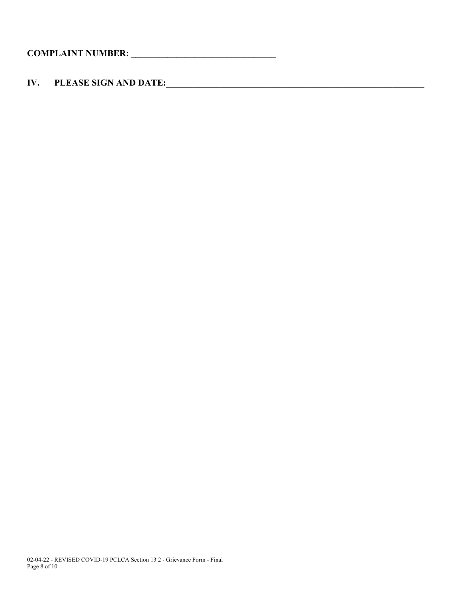**IV. PLEASE SIGN AND DATE:\_\_\_\_\_\_\_\_\_\_\_\_\_\_\_\_\_\_\_\_\_\_\_\_\_\_\_\_\_\_\_\_\_\_\_\_\_\_\_\_\_\_\_\_\_\_\_\_\_\_\_\_\_\_\_\_\_**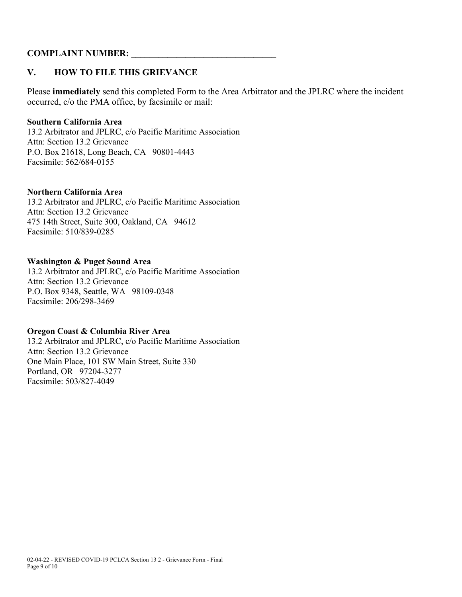### **COMPLAINT NUMBER:**

### **V. HOW TO FILE THIS GRIEVANCE**

Please **immediately** send this completed Form to the Area Arbitrator and the JPLRC where the incident occurred, c/o the PMA office, by facsimile or mail:

#### **Southern California Area**

13.2 Arbitrator and JPLRC, c/o Pacific Maritime Association Attn: Section 13.2 Grievance P.O. Box 21618, Long Beach, CA 90801-4443 Facsimile: 562/684-0155

#### **Northern California Area**

13.2 Arbitrator and JPLRC, c/o Pacific Maritime Association Attn: Section 13.2 Grievance 475 14th Street, Suite 300, Oakland, CA 94612 Facsimile: 510/839-0285

#### **Washington & Puget Sound Area**

13.2 Arbitrator and JPLRC, c/o Pacific Maritime Association Attn: Section 13.2 Grievance P.O. Box 9348, Seattle, WA 98109-0348 Facsimile: 206/298-3469

#### **Oregon Coast & Columbia River Area**

13.2 Arbitrator and JPLRC, c/o Pacific Maritime Association Attn: Section 13.2 Grievance One Main Place, 101 SW Main Street, Suite 330 Portland, OR 97204-3277 Facsimile: 503/827-4049